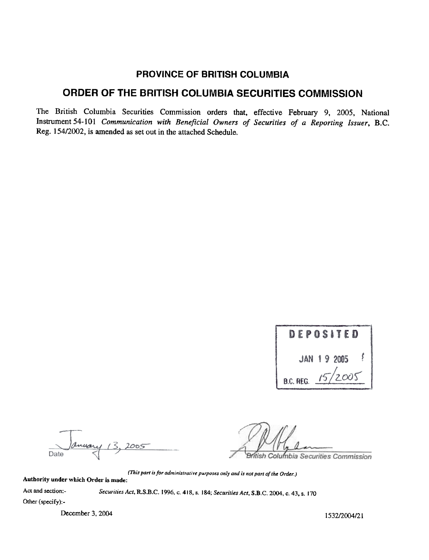## PROVINCE OF BRITISH COLUMBIA

# ORDER OF THE BRITISH COLUMBIA SECURITIES COMMISSION

The British Columbia Securities Commission orders that, effective February 9, 2005, National Instrument 54-101 Communication with Beneficial Owners of Securities of a Reporting Issuer, B.C. Reg. 154/2002, is amended as set out in the attached Schedule.

DEPOSITED JAN 1 B.C. REG.

Date

ftish Columbia Securities Commission

(This part is for administrative purposes only and is not part of the Order.)

#### Authority under which Order is made:

Act and section:- Securities Act, R.S.B.C. 1996, c. 418, s. 184; Securities Act, S.B.C. 2004, c. 43, s. 170

Other (specify):-

December 3, 2004 <sup>153212004121</sup>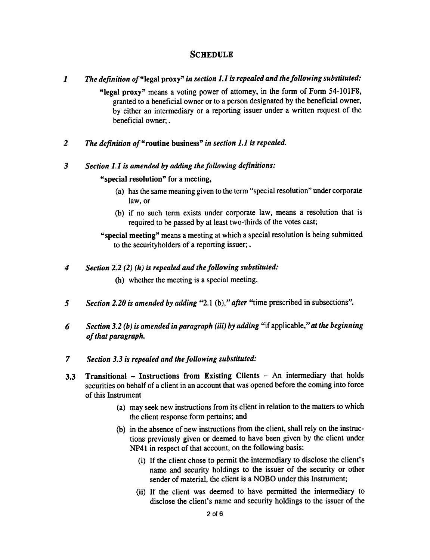## **SCHEDULE**

The definition of "legal proxy" in section 1.1 is repealed and the following substituted: 1

> "legal proxy" means a voting power of attorney, in the form of Form 54-l0lF8, granted to a beneficial owner or to a person designated by the beneficial owner, by either an intermediary or a reporting issuer under a written request of the beneficial owner; .

2 The definition of "routine business" in section 1.1 is repealed.

## 3 Section 1.1 is amended by adding the following definitions:

## "special resolution" for a meeting,

- (a) has the same meaning given to the term "special resolution" under corporate law, or
- (b) if no such term exists under corporate law, means a resolution that is required to be passed by at least two-thirds of the votes cast;

"special meeting" means a meeting at which a special resolution is being submitted to the securityholders of a reporting issuer; .

- Section 2.2 (2) (h) is repealed and the following substituted: 4
	- (h) whether the meeting is a special meeting.
- 5 Section 2.20 is amended by adding "2.1 (b)," after "time prescribed in subsections".
- Section 3.2 (b) is amended in paragraph (iii) by adding "if applicable," at the beginning of that paragraph. 6
- 7 Section 3.3 is repealed and the following substituted:
- 3.3 Transitional Instructions from Existing Clients An intermediary that holds securities on behalf of a client in an account that was opened before the coming into force of this Instrument
	- (a) may seek new instructions from its client in relation to the matters to which the client response form pertains; and
	- (b) in the absence of new instructions from the client, shall rely on the instructions previously given or deemed to have been given by the client under NP41 in respect of that account, on the following basis:
		- (i) If the client chose to permit the intermediary to disclose the client's name and security holdings to the issuer of the security or other sender of material, the client is a NOBO under this Instrument;
		- (ii) If the client was deemed to have permitted the intermediary to disclose the client's name and security holdings to the issuer of the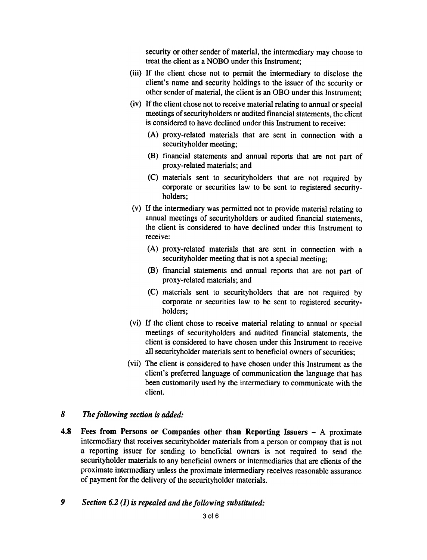security or other sender of material, the intermediary may choose to treat the client as a NOBO under this Instrument;

- (iii) If the client chose not to permit the intermediary to disclose the client's name and security holdings to the issuer of the security or other sender of material, the client is an OBO under this Instrument;
- (iv) If the client chose not to receive material relating to annual or special meetings of securityholders or audited financial statements, the client is considered to have declined under this Instrument to receive:
	- (A) proxy-related materials that are sent in connection with a securityholder meeting;
	- (B) financial statements and annual reports that are not part of proxy-related materials; and
	- (C) materials sent to securityholders that are not required by corporate or securities law to be sent to registered securityholders;
- (v) If the intermediary was permitted not to provide material relating to annual meetings of securityholders or audited financial statements, the client is considered to have declined under this Instrument to receive:
	- (A) proxy-related materials that are sent in connection with a securityholder meeting that is not a special meeting;
	- (B) financial statements and annual reports that are not part of proxy-related materials; and
	- (C) materials sent to securityholders that are not required by corporate or securities law to be sent to registered securityholders;
- (vi) If the client chose to receive material relating to annual or special meetings of securityholders and audited financial statements, the client is considered to have chosen under this Instrument to receive all security holder materials sent to beneficial owners of securities;
- (vii) The client is considered to have chosen under this Instrument as the client's preferred language of communication the language that has been customarily used by the intermediary to communicate with the client.

## 8 The following section is added:

- 4.8 Fees from Persons or Companies other than Reporting Issuers A proximate intermediary that receives securityholder materials from a person or company that is not a reporting issuer for sending to beneficial owners is not required to send the securityholder materials to any beneficial owners or intermediaries that are clients of the proximate intermediary unless the proximate intermediary receives reasonable assurance of payment for the delivery of the securityholder materials.
- 9 Section 6.2 (1) is repealed and the following substituted: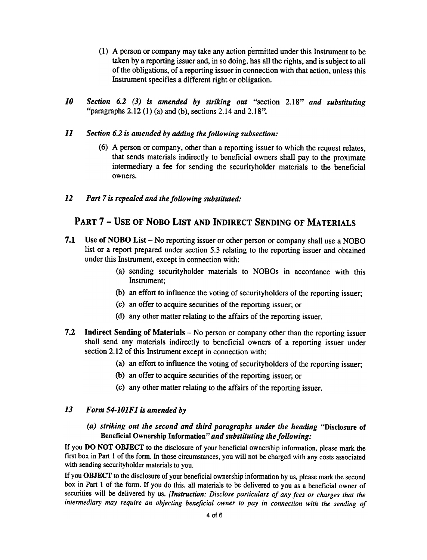- (I) A person or company may take any action permitted under this Instrument to be taken by a reporting issuer and, in so doing, has all the rights, and is subject to all of the obligations, of a reporting issuer in connection with that action, unless this Instrument specifies a different right or obligation.
- 10 Section 6.2 (3) is amended by striking out "section 2.18" and substituting "paragraphs  $2.12$  (1) (a) and (b), sections  $2.14$  and  $2.18$ ".
- 11 Section 6.2 is amended by adding the following subsection:
	- (6) A person or company, other than a reporting issuer to which the request relates, that sends materials indirectly to beneficial owners shall pay to the proximate intermediary a fee for sending the securityholder materials to the beneficial owners.
- 12 Part 7 is repealed and the following substituted:

## PART 7 - USE OF NOBO LIST AND INDIRECT SENDING OF MATERIALS

- 7.1 Use of NOBO List No reporting issuer or other person or company shall use a NOBO list or a report prepared under section 5.3 relating to the reporting issuer and obtained under this Instrument, except in connection with:
	- (a) sending securityholder materials to NOBOs in accordance with this Instrument;
	- (b) an effort to influence the voting of securityholders of the reporting issuer;
	- ( c) an offer to acquire securities of the reporting issuer; or
	- (d) any other matter relating to the affairs of the reporting issuer.
- 7.2 Indirect Sending of Materials No person or company other than the reporting issuer shall send any materials indirectly to beneficial owners of a reporting issuer under section 2.12 of this Instrument except in connection with:
	- (a) an effort to influence the voting of securityholders of the reporting issuer;
	- (b) an offer to acquire securities of the reporting issuer; or
	- (c) any other matter relating to the affairs of the reporting issuer.

#### 13 Form 54-101F1 is amended by

(a) striking out the second and third paragraphs under the heading "Disclosure of Beneficial Ownership Information" and substituting the following:

If you DO NOT OBJECT to the disclosure of your beneficial ownership information, please mark the first box in Part 1 of the form. In those circumstances, you will not be charged with any costs associated with sending securityholder materials to you.

If you OBJECT to the disclosure of your beneficial ownership information by us, please mark the second box in Part 1 of the form. If you do this, all materials to be delivered to you as a beneficial owner of securities will be delivered by us. [Instruction: Disclose particulars of any fees or charges that the intermediary may require an objecting beneficial owner to pay in connection with the sending of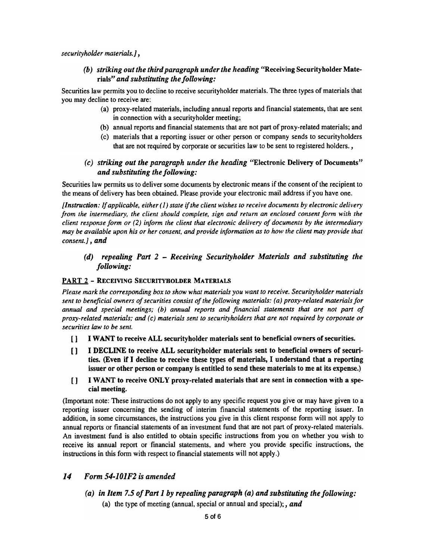securityholder materials.] ,

#### (b) striking out the third paragraph under the heading "Receiving Securityholder Materials" and substituting the following:

Securities law permits you to decline to receive security holder materials. The three types of materials that you may decline to receive are:

- (a) proxy-related materials, including annual reports and financial statements, that are sent in connection with a securityholder meeting;
- (b) annual reports and financial statements that are not part of proxy-related materials; and
- (c) materials that a reporting issuer or other person or company sends to securityholders that are not required by corporate or securities law to be sent to registered holders. ,

### (c) striking out the paragraph under the heading "Electronic Delivery of Documents" and substituting the following:

Securities law permits us to deliver some documents by electronic means if the consent of the recipient to the means of delivery has been obtained. Please provide your electronic mail address if you have one.

*(Instruction: If applicable, either (1) state if the client wishes to receive documents by electronic delivery* from the intermediary, the client should complete. sign and return an enclosed consent form with the client response form or (2) inform the client that electronic delivery of documents by the intermediary may be available upon his or her consent, and provide information as to how the client may provide that consent.] , and

## (d) repealing Part 2 -Receiving Securityholder Materials and substituting the following:

## PART 2 - RECEIVING SECURITYHOLDER MATERIALS

Please mark the corresponding box to show what materials you want to receive. Securityholder materials sent to beneficial owners of securities consist of the following materials: ( a) proxy-related materials for annual and special meetings; (b) annual reports and financial statements that are not part of proxy-related materials; and (c) materials sent to securityholders that are not required by corporate or securities law to be sent.

- [ ] I WANT to receive ALL securityholder materials sent to beneficial owners of securities.
- [ ] I DECLINE to receive ALL securityholder materials sent to beneficial owners of securities. (Even if I decline to receive these types of materials, I understand that a reporting issuer or other person or company is entitled to send these materials to me at its expense.)
- [] I WANT to receive ONLY proxy-related materials that are sent in connection with a special meeting.

(Important note: These instructions do not apply to any specific request you give or may have given to a reporting issuer concerning the sending of interim financial statements of the reporting issuer. In addition, in some circumstances, the instructions you give in this client response form will not apply to annual reports or financial statements of an investment fund that are not part of proxy-related materials. An investment fund is also entitled to obtain specific instructions from you on whether you wish to receive its annual report or financial statements, and where you provide specific instructions, the instructions in this form with respect to financial statements will not apply.)

## 14 Form 54-l0lF2 is amended

## (a) in Item 7.5 of Part 1 by repealing paragraph  $(a)$  and substituting the following:

(a) the type of meeting (annual, special or annual and special); , and